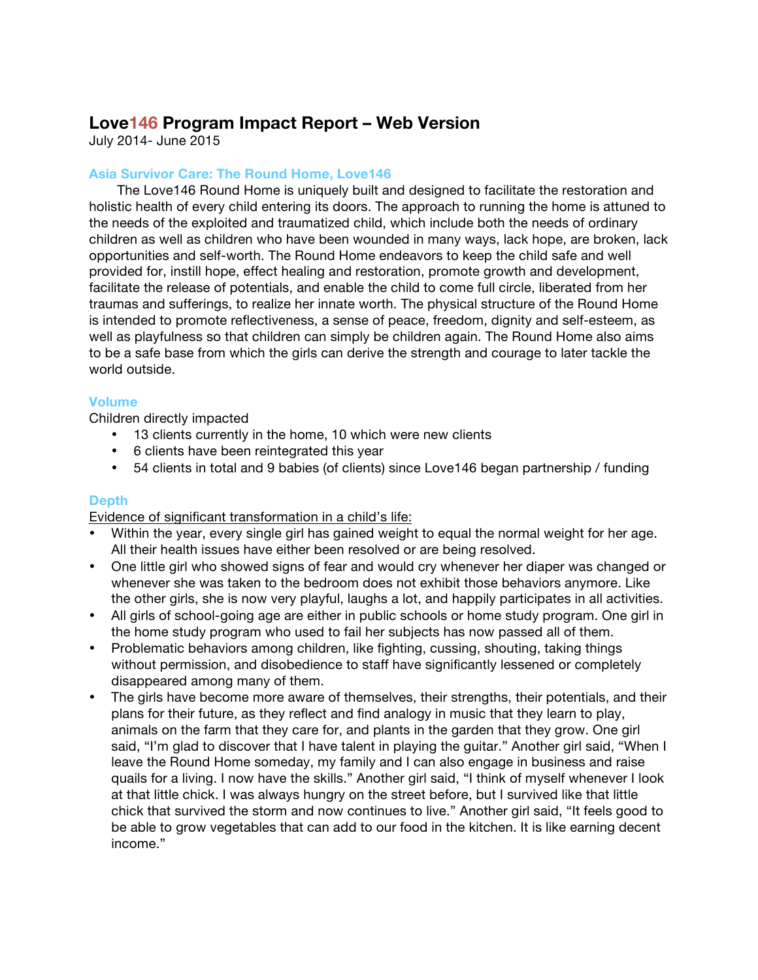# **Love146 Program Impact Report – Web Version**

July 2014- June 2015

## **Asia Survivor Care: The Round Home, Love146**

The Love146 Round Home is uniquely built and designed to facilitate the restoration and holistic health of every child entering its doors. The approach to running the home is attuned to the needs of the exploited and traumatized child, which include both the needs of ordinary children as well as children who have been wounded in many ways, lack hope, are broken, lack opportunities and self-worth. The Round Home endeavors to keep the child safe and well provided for, instill hope, effect healing and restoration, promote growth and development, facilitate the release of potentials, and enable the child to come full circle, liberated from her traumas and sufferings, to realize her innate worth. The physical structure of the Round Home is intended to promote reflectiveness, a sense of peace, freedom, dignity and self-esteem, as well as playfulness so that children can simply be children again. The Round Home also aims to be a safe base from which the girls can derive the strength and courage to later tackle the world outside.

#### **Volume**

Children directly impacted

- 13 clients currently in the home, 10 which were new clients
- 6 clients have been reintegrated this year
- 54 clients in total and 9 babies (of clients) since Love146 began partnership / funding

## **Depth**

Evidence of significant transformation in a child's life:

- Within the year, every single girl has gained weight to equal the normal weight for her age. All their health issues have either been resolved or are being resolved.
- One little girl who showed signs of fear and would cry whenever her diaper was changed or whenever she was taken to the bedroom does not exhibit those behaviors anymore. Like the other girls, she is now very playful, laughs a lot, and happily participates in all activities.
- All girls of school-going age are either in public schools or home study program. One girl in the home study program who used to fail her subjects has now passed all of them.
- Problematic behaviors among children, like fighting, cussing, shouting, taking things without permission, and disobedience to staff have significantly lessened or completely disappeared among many of them.
- The girls have become more aware of themselves, their strengths, their potentials, and their plans for their future, as they reflect and find analogy in music that they learn to play, animals on the farm that they care for, and plants in the garden that they grow. One girl said, "I'm glad to discover that I have talent in playing the guitar." Another girl said, "When I leave the Round Home someday, my family and I can also engage in business and raise quails for a living. I now have the skills." Another girl said, "I think of myself whenever I look at that little chick. I was always hungry on the street before, but I survived like that little chick that survived the storm and now continues to live." Another girl said, "It feels good to be able to grow vegetables that can add to our food in the kitchen. It is like earning decent income."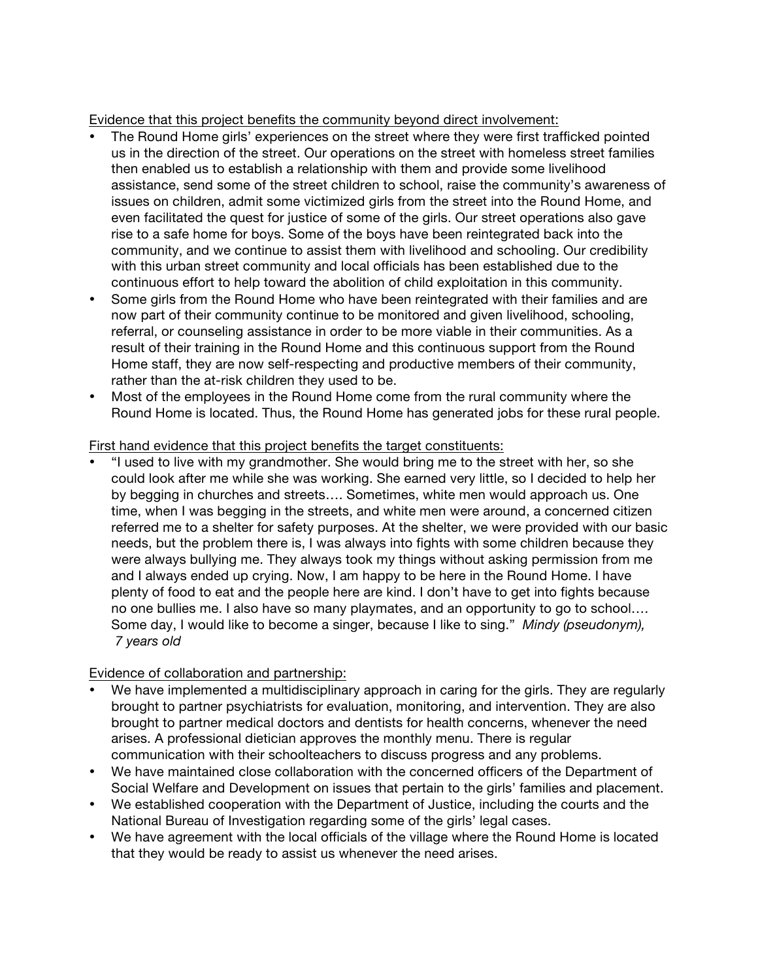Evidence that this project benefits the community beyond direct involvement:

- The Round Home girls' experiences on the street where they were first trafficked pointed us in the direction of the street. Our operations on the street with homeless street families then enabled us to establish a relationship with them and provide some livelihood assistance, send some of the street children to school, raise the community's awareness of issues on children, admit some victimized girls from the street into the Round Home, and even facilitated the quest for justice of some of the girls. Our street operations also gave rise to a safe home for boys. Some of the boys have been reintegrated back into the community, and we continue to assist them with livelihood and schooling. Our credibility with this urban street community and local officials has been established due to the continuous effort to help toward the abolition of child exploitation in this community.
- Some girls from the Round Home who have been reintegrated with their families and are now part of their community continue to be monitored and given livelihood, schooling, referral, or counseling assistance in order to be more viable in their communities. As a result of their training in the Round Home and this continuous support from the Round Home staff, they are now self-respecting and productive members of their community, rather than the at-risk children they used to be.
- Most of the employees in the Round Home come from the rural community where the Round Home is located. Thus, the Round Home has generated jobs for these rural people.

## First hand evidence that this project benefits the target constituents:

• "I used to live with my grandmother. She would bring me to the street with her, so she could look after me while she was working. She earned very little, so I decided to help her by begging in churches and streets…. Sometimes, white men would approach us. One time, when I was begging in the streets, and white men were around, a concerned citizen referred me to a shelter for safety purposes. At the shelter, we were provided with our basic needs, but the problem there is, I was always into fights with some children because they were always bullying me. They always took my things without asking permission from me and I always ended up crying. Now, I am happy to be here in the Round Home. I have plenty of food to eat and the people here are kind. I don't have to get into fights because no one bullies me. I also have so many playmates, and an opportunity to go to school…. Some day, I would like to become a singer, because I like to sing." *Mindy (pseudonym), 7 years old*

## Evidence of collaboration and partnership:

- We have implemented a multidisciplinary approach in caring for the girls. They are regularly brought to partner psychiatrists for evaluation, monitoring, and intervention. They are also brought to partner medical doctors and dentists for health concerns, whenever the need arises. A professional dietician approves the monthly menu. There is regular communication with their schoolteachers to discuss progress and any problems.
- We have maintained close collaboration with the concerned officers of the Department of Social Welfare and Development on issues that pertain to the girls' families and placement.
- We established cooperation with the Department of Justice, including the courts and the National Bureau of Investigation regarding some of the girls' legal cases.
- We have agreement with the local officials of the village where the Round Home is located that they would be ready to assist us whenever the need arises.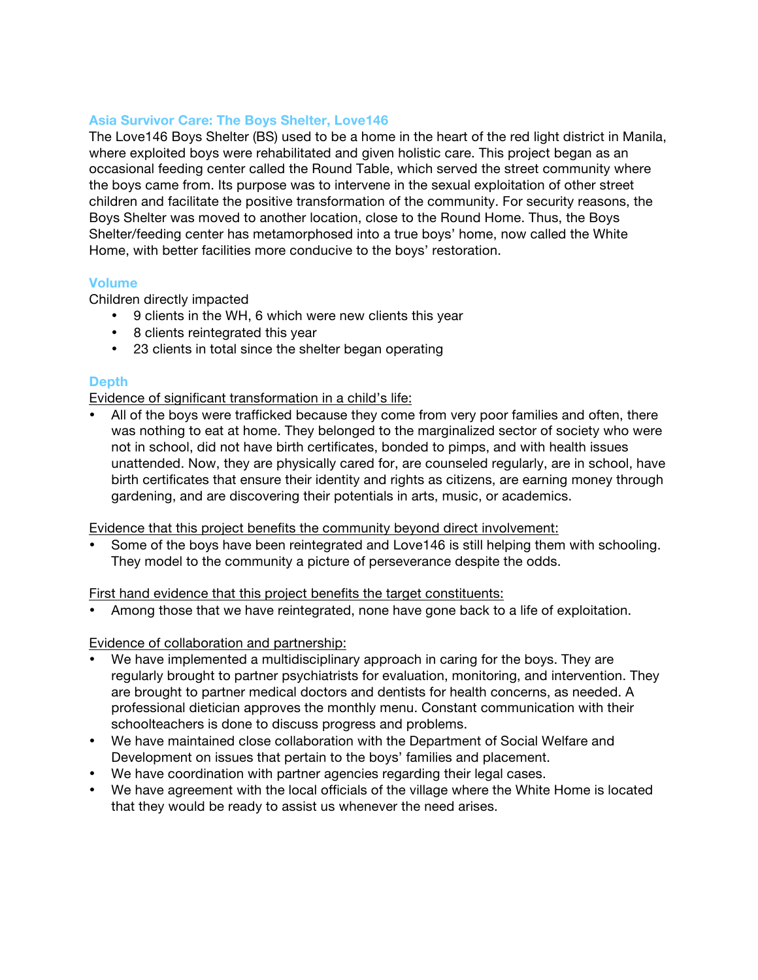#### **Asia Survivor Care: The Boys Shelter, Love146**

The Love146 Boys Shelter (BS) used to be a home in the heart of the red light district in Manila, where exploited boys were rehabilitated and given holistic care. This project began as an occasional feeding center called the Round Table, which served the street community where the boys came from. Its purpose was to intervene in the sexual exploitation of other street children and facilitate the positive transformation of the community. For security reasons, the Boys Shelter was moved to another location, close to the Round Home. Thus, the Boys Shelter/feeding center has metamorphosed into a true boys' home, now called the White Home, with better facilities more conducive to the boys' restoration.

#### **Volume**

Children directly impacted

- 9 clients in the WH, 6 which were new clients this year
- 8 clients reintegrated this year
- 23 clients in total since the shelter began operating

## **Depth**

Evidence of significant transformation in a child's life:

• All of the boys were trafficked because they come from very poor families and often, there was nothing to eat at home. They belonged to the marginalized sector of society who were not in school, did not have birth certificates, bonded to pimps, and with health issues unattended. Now, they are physically cared for, are counseled regularly, are in school, have birth certificates that ensure their identity and rights as citizens, are earning money through gardening, and are discovering their potentials in arts, music, or academics.

Evidence that this project benefits the community beyond direct involvement:

Some of the boys have been reintegrated and Love146 is still helping them with schooling. They model to the community a picture of perseverance despite the odds.

First hand evidence that this project benefits the target constituents:

• Among those that we have reintegrated, none have gone back to a life of exploitation.

#### Evidence of collaboration and partnership:

- We have implemented a multidisciplinary approach in caring for the boys. They are regularly brought to partner psychiatrists for evaluation, monitoring, and intervention. They are brought to partner medical doctors and dentists for health concerns, as needed. A professional dietician approves the monthly menu. Constant communication with their schoolteachers is done to discuss progress and problems.
- We have maintained close collaboration with the Department of Social Welfare and Development on issues that pertain to the boys' families and placement.
- We have coordination with partner agencies regarding their legal cases.
- We have agreement with the local officials of the village where the White Home is located that they would be ready to assist us whenever the need arises.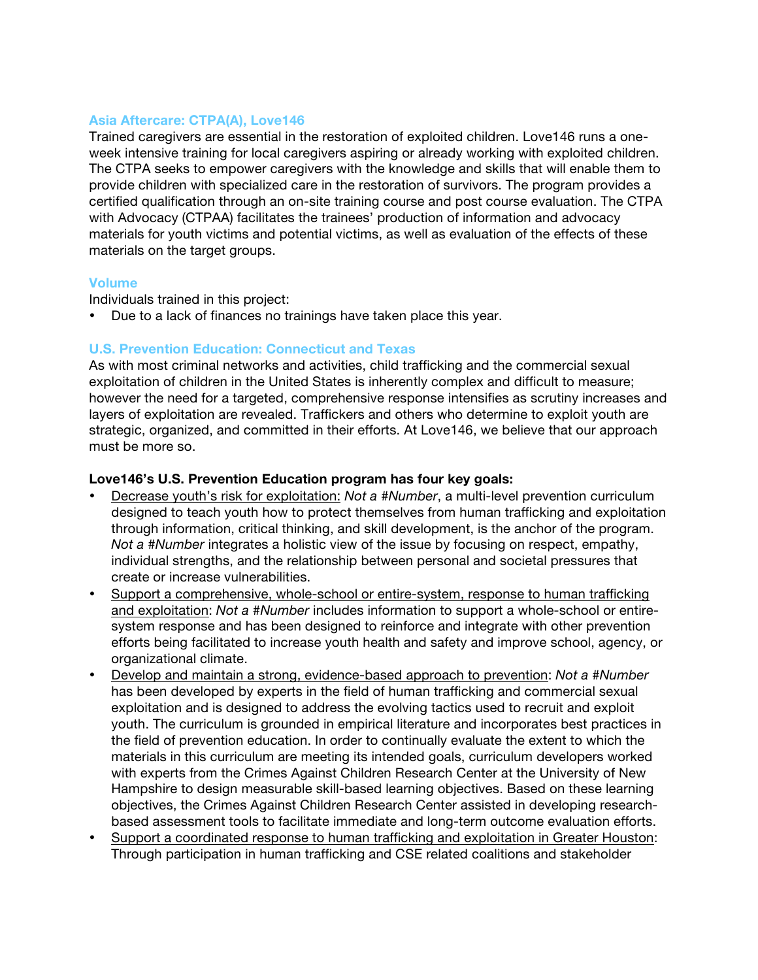#### **Asia Aftercare: CTPA(A), Love146**

Trained caregivers are essential in the restoration of exploited children. Love146 runs a oneweek intensive training for local caregivers aspiring or already working with exploited children. The CTPA seeks to empower caregivers with the knowledge and skills that will enable them to provide children with specialized care in the restoration of survivors. The program provides a certified qualification through an on-site training course and post course evaluation. The CTPA with Advocacy (CTPAA) facilitates the trainees' production of information and advocacy materials for youth victims and potential victims, as well as evaluation of the effects of these materials on the target groups.

#### **Volume**

Individuals trained in this project:

• Due to a lack of finances no trainings have taken place this year.

## **U.S. Prevention Education: Connecticut and Texas**

As with most criminal networks and activities, child trafficking and the commercial sexual exploitation of children in the United States is inherently complex and difficult to measure; however the need for a targeted, comprehensive response intensifies as scrutiny increases and layers of exploitation are revealed. Traffickers and others who determine to exploit youth are strategic, organized, and committed in their efforts. At Love146, we believe that our approach must be more so.

#### **Love146's U.S. Prevention Education program has four key goals:**

- Decrease youth's risk for exploitation: *Not a #Number*, a multi-level prevention curriculum designed to teach youth how to protect themselves from human trafficking and exploitation through information, critical thinking, and skill development, is the anchor of the program. *Not a #Number* integrates a holistic view of the issue by focusing on respect, empathy, individual strengths, and the relationship between personal and societal pressures that create or increase vulnerabilities.
- Support a comprehensive, whole-school or entire-system, response to human trafficking and exploitation: *Not a #Number* includes information to support a whole-school or entiresystem response and has been designed to reinforce and integrate with other prevention efforts being facilitated to increase youth health and safety and improve school, agency, or organizational climate.
- Develop and maintain a strong, evidence-based approach to prevention: *Not a #Number* has been developed by experts in the field of human trafficking and commercial sexual exploitation and is designed to address the evolving tactics used to recruit and exploit youth. The curriculum is grounded in empirical literature and incorporates best practices in the field of prevention education. In order to continually evaluate the extent to which the materials in this curriculum are meeting its intended goals, curriculum developers worked with experts from the Crimes Against Children Research Center at the University of New Hampshire to design measurable skill-based learning objectives. Based on these learning objectives, the Crimes Against Children Research Center assisted in developing researchbased assessment tools to facilitate immediate and long-term outcome evaluation efforts.
- Support a coordinated response to human trafficking and exploitation in Greater Houston: Through participation in human trafficking and CSE related coalitions and stakeholder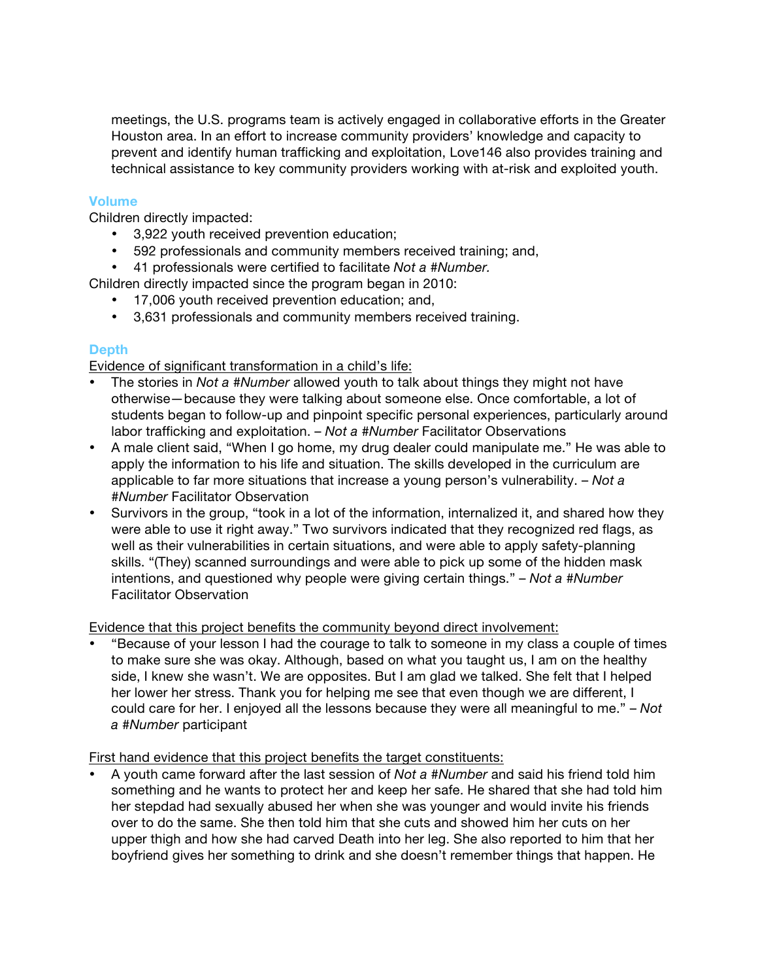meetings, the U.S. programs team is actively engaged in collaborative efforts in the Greater Houston area. In an effort to increase community providers' knowledge and capacity to prevent and identify human trafficking and exploitation, Love146 also provides training and technical assistance to key community providers working with at-risk and exploited youth.

## **Volume**

Children directly impacted:

- 3,922 youth received prevention education;
- 592 professionals and community members received training; and,
- 41 professionals were certified to facilitate *Not a #Number.*
- Children directly impacted since the program began in 2010:
	- 17,006 youth received prevention education; and,
	- 3,631 professionals and community members received training.

## **Depth**

Evidence of significant transformation in a child's life:

- The stories in *Not a #Number* allowed youth to talk about things they might not have otherwise—because they were talking about someone else. Once comfortable, a lot of students began to follow-up and pinpoint specific personal experiences, particularly around labor trafficking and exploitation. – *Not a #Number* Facilitator Observations
- A male client said, "When I go home, my drug dealer could manipulate me." He was able to apply the information to his life and situation. The skills developed in the curriculum are applicable to far more situations that increase a young person's vulnerability. – *Not a #Number* Facilitator Observation
- Survivors in the group, "took in a lot of the information, internalized it, and shared how they were able to use it right away." Two survivors indicated that they recognized red flags, as well as their vulnerabilities in certain situations, and were able to apply safety-planning skills. "(They) scanned surroundings and were able to pick up some of the hidden mask intentions, and questioned why people were giving certain things." – *Not a #Number*  Facilitator Observation

## Evidence that this project benefits the community beyond direct involvement:

• "Because of your lesson I had the courage to talk to someone in my class a couple of times to make sure she was okay. Although, based on what you taught us, I am on the healthy side, I knew she wasn't. We are opposites. But I am glad we talked. She felt that I helped her lower her stress. Thank you for helping me see that even though we are different, I could care for her. I enjoyed all the lessons because they were all meaningful to me." – *Not a #Number* participant

## First hand evidence that this project benefits the target constituents:

• A youth came forward after the last session of *Not a #Number* and said his friend told him something and he wants to protect her and keep her safe. He shared that she had told him her stepdad had sexually abused her when she was younger and would invite his friends over to do the same. She then told him that she cuts and showed him her cuts on her upper thigh and how she had carved Death into her leg. She also reported to him that her boyfriend gives her something to drink and she doesn't remember things that happen. He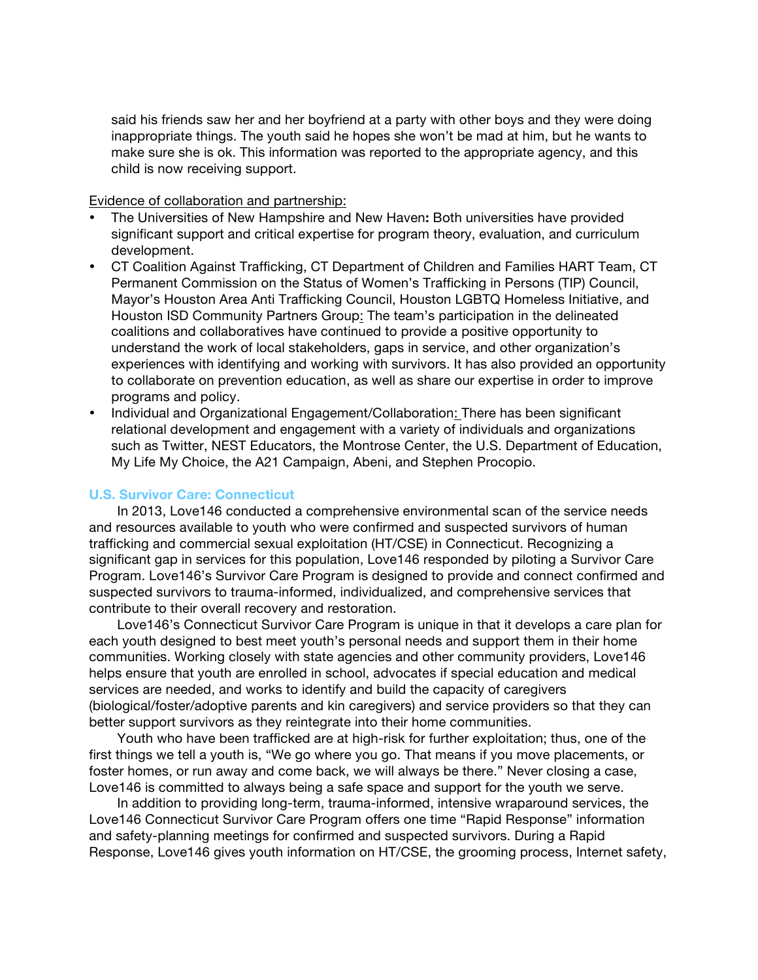said his friends saw her and her boyfriend at a party with other boys and they were doing inappropriate things. The youth said he hopes she won't be mad at him, but he wants to make sure she is ok. This information was reported to the appropriate agency, and this child is now receiving support.

Evidence of collaboration and partnership:

- The Universities of New Hampshire and New Haven**:** Both universities have provided significant support and critical expertise for program theory, evaluation, and curriculum development.
- CT Coalition Against Trafficking, CT Department of Children and Families HART Team, CT Permanent Commission on the Status of Women's Trafficking in Persons (TIP) Council, Mayor's Houston Area Anti Trafficking Council, Houston LGBTQ Homeless Initiative, and Houston ISD Community Partners Group: The team's participation in the delineated coalitions and collaboratives have continued to provide a positive opportunity to understand the work of local stakeholders, gaps in service, and other organization's experiences with identifying and working with survivors. It has also provided an opportunity to collaborate on prevention education, as well as share our expertise in order to improve programs and policy.
- Individual and Organizational Engagement/Collaboration: There has been significant relational development and engagement with a variety of individuals and organizations such as Twitter, NEST Educators, the Montrose Center, the U.S. Department of Education, My Life My Choice, the A21 Campaign, Abeni, and Stephen Procopio.

#### **U.S. Survivor Care: Connecticut**

In 2013, Love146 conducted a comprehensive environmental scan of the service needs and resources available to youth who were confirmed and suspected survivors of human trafficking and commercial sexual exploitation (HT/CSE) in Connecticut. Recognizing a significant gap in services for this population, Love146 responded by piloting a Survivor Care Program. Love146's Survivor Care Program is designed to provide and connect confirmed and suspected survivors to trauma-informed, individualized, and comprehensive services that contribute to their overall recovery and restoration.

Love146's Connecticut Survivor Care Program is unique in that it develops a care plan for each youth designed to best meet youth's personal needs and support them in their home communities. Working closely with state agencies and other community providers, Love146 helps ensure that youth are enrolled in school, advocates if special education and medical services are needed, and works to identify and build the capacity of caregivers (biological/foster/adoptive parents and kin caregivers) and service providers so that they can better support survivors as they reintegrate into their home communities.

Youth who have been trafficked are at high-risk for further exploitation; thus, one of the first things we tell a youth is, "We go where you go. That means if you move placements, or foster homes, or run away and come back, we will always be there." Never closing a case, Love146 is committed to always being a safe space and support for the youth we serve.

In addition to providing long-term, trauma-informed, intensive wraparound services, the Love146 Connecticut Survivor Care Program offers one time "Rapid Response" information and safety-planning meetings for confirmed and suspected survivors. During a Rapid Response, Love146 gives youth information on HT/CSE, the grooming process, Internet safety,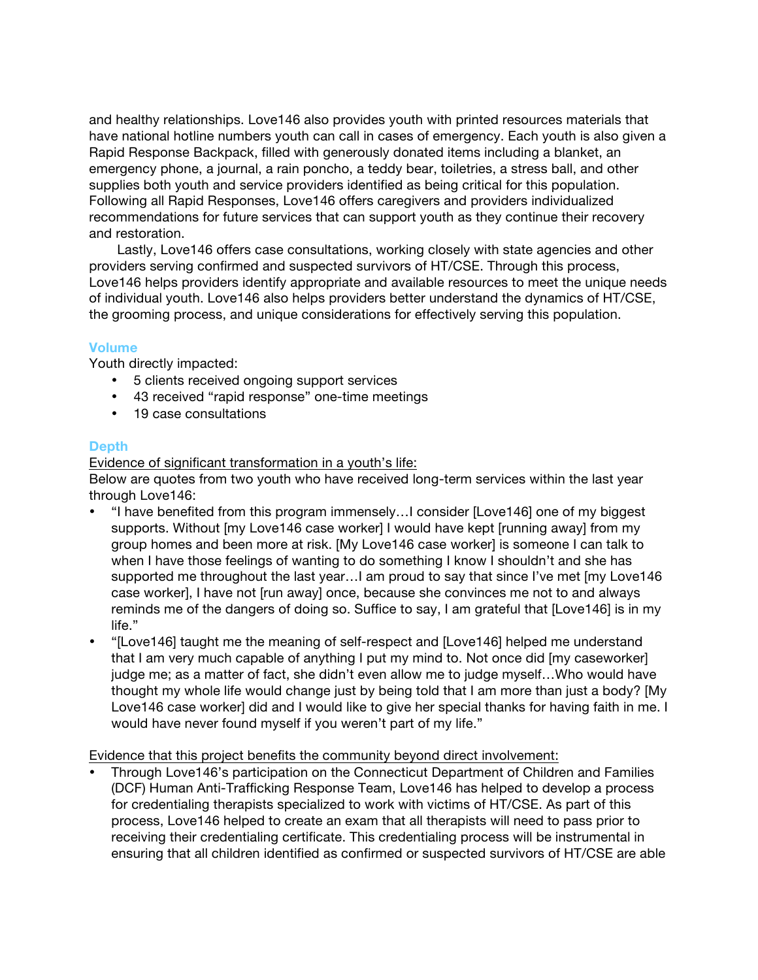and healthy relationships. Love146 also provides youth with printed resources materials that have national hotline numbers youth can call in cases of emergency. Each youth is also given a Rapid Response Backpack, filled with generously donated items including a blanket, an emergency phone, a journal, a rain poncho, a teddy bear, toiletries, a stress ball, and other supplies both youth and service providers identified as being critical for this population. Following all Rapid Responses, Love146 offers caregivers and providers individualized recommendations for future services that can support youth as they continue their recovery and restoration.

Lastly, Love146 offers case consultations, working closely with state agencies and other providers serving confirmed and suspected survivors of HT/CSE. Through this process, Love146 helps providers identify appropriate and available resources to meet the unique needs of individual youth. Love146 also helps providers better understand the dynamics of HT/CSE, the grooming process, and unique considerations for effectively serving this population.

#### **Volume**

Youth directly impacted:

- 5 clients received ongoing support services
- 43 received "rapid response" one-time meetings
- 19 case consultations

#### **Depth**

Evidence of significant transformation in a youth's life:

Below are quotes from two youth who have received long-term services within the last year through Love146:

- "I have benefited from this program immensely…I consider [Love146] one of my biggest supports. Without [my Love146 case worker] I would have kept [running away] from my group homes and been more at risk. [My Love146 case worker] is someone I can talk to when I have those feelings of wanting to do something I know I shouldn't and she has supported me throughout the last year…I am proud to say that since I've met [my Love146 case worker], I have not [run away] once, because she convinces me not to and always reminds me of the dangers of doing so. Suffice to say, I am grateful that [Love146] is in my life."
- "[Love146] taught me the meaning of self-respect and [Love146] helped me understand that I am very much capable of anything I put my mind to. Not once did [my caseworker] judge me; as a matter of fact, she didn't even allow me to judge myself…Who would have thought my whole life would change just by being told that I am more than just a body? [My Love146 case worker] did and I would like to give her special thanks for having faith in me. I would have never found myself if you weren't part of my life."

Evidence that this project benefits the community beyond direct involvement:

• Through Love146's participation on the Connecticut Department of Children and Families (DCF) Human Anti-Trafficking Response Team, Love146 has helped to develop a process for credentialing therapists specialized to work with victims of HT/CSE. As part of this process, Love146 helped to create an exam that all therapists will need to pass prior to receiving their credentialing certificate. This credentialing process will be instrumental in ensuring that all children identified as confirmed or suspected survivors of HT/CSE are able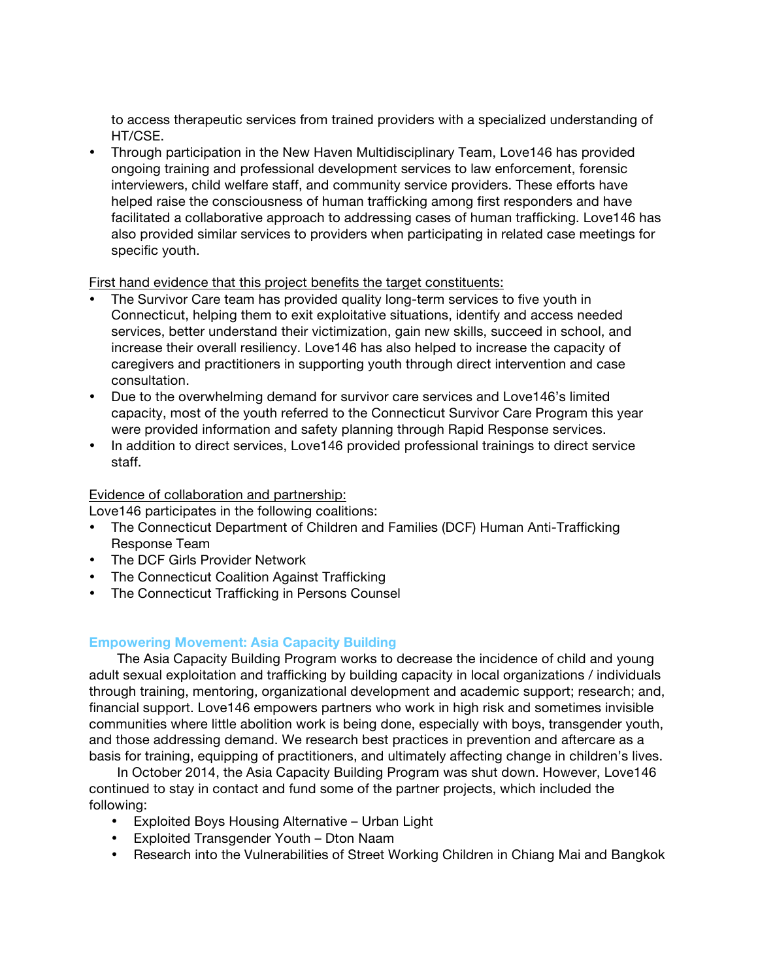to access therapeutic services from trained providers with a specialized understanding of HT/CSE.

• Through participation in the New Haven Multidisciplinary Team, Love146 has provided ongoing training and professional development services to law enforcement, forensic interviewers, child welfare staff, and community service providers. These efforts have helped raise the consciousness of human trafficking among first responders and have facilitated a collaborative approach to addressing cases of human trafficking. Love146 has also provided similar services to providers when participating in related case meetings for specific youth.

First hand evidence that this project benefits the target constituents:

- The Survivor Care team has provided quality long-term services to five youth in Connecticut, helping them to exit exploitative situations, identify and access needed services, better understand their victimization, gain new skills, succeed in school, and increase their overall resiliency. Love146 has also helped to increase the capacity of caregivers and practitioners in supporting youth through direct intervention and case consultation.
- Due to the overwhelming demand for survivor care services and Love146's limited capacity, most of the youth referred to the Connecticut Survivor Care Program this year were provided information and safety planning through Rapid Response services.
- In addition to direct services, Love146 provided professional trainings to direct service staff.

## Evidence of collaboration and partnership:

Love146 participates in the following coalitions:

- The Connecticut Department of Children and Families (DCF) Human Anti-Trafficking Response Team
- The DCF Girls Provider Network
- The Connecticut Coalition Against Trafficking
- The Connecticut Trafficking in Persons Counsel

## **Empowering Movement: Asia Capacity Building**

The Asia Capacity Building Program works to decrease the incidence of child and young adult sexual exploitation and trafficking by building capacity in local organizations / individuals through training, mentoring, organizational development and academic support; research; and, financial support. Love146 empowers partners who work in high risk and sometimes invisible communities where little abolition work is being done, especially with boys, transgender youth, and those addressing demand. We research best practices in prevention and aftercare as a basis for training, equipping of practitioners, and ultimately affecting change in children's lives.

In October 2014, the Asia Capacity Building Program was shut down. However, Love146 continued to stay in contact and fund some of the partner projects, which included the following:

- Exploited Boys Housing Alternative Urban Light
- Exploited Transgender Youth Dton Naam
- Research into the Vulnerabilities of Street Working Children in Chiang Mai and Bangkok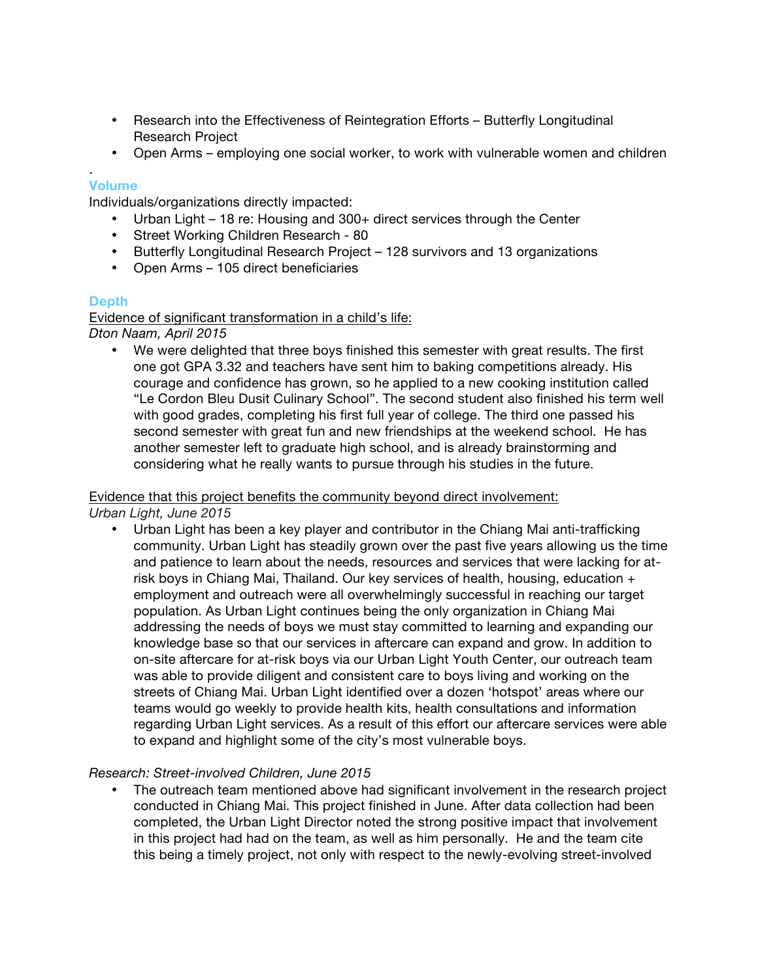- Research into the Effectiveness of Reintegration Efforts Butterfly Longitudinal Research Project
- Open Arms employing one social worker, to work with vulnerable women and children

## **Volume**

.

Individuals/organizations directly impacted:

- Urban Light 18 re: Housing and 300+ direct services through the Center
- Street Working Children Research 80
- Butterfly Longitudinal Research Project 128 survivors and 13 organizations
- Open Arms 105 direct beneficiaries

## **Depth**

Evidence of significant transformation in a child's life:

*Dton Naam, April 2015*

• We were delighted that three boys finished this semester with great results. The first one got GPA 3.32 and teachers have sent him to baking competitions already. His courage and confidence has grown, so he applied to a new cooking institution called "Le Cordon Bleu Dusit Culinary School". The second student also finished his term well with good grades, completing his first full year of college. The third one passed his second semester with great fun and new friendships at the weekend school. He has another semester left to graduate high school, and is already brainstorming and considering what he really wants to pursue through his studies in the future.

## Evidence that this project benefits the community beyond direct involvement:

*Urban Light, June 2015*

• Urban Light has been a key player and contributor in the Chiang Mai anti-trafficking community. Urban Light has steadily grown over the past five years allowing us the time and patience to learn about the needs, resources and services that were lacking for atrisk boys in Chiang Mai, Thailand. Our key services of health, housing, education + employment and outreach were all overwhelmingly successful in reaching our target population. As Urban Light continues being the only organization in Chiang Mai addressing the needs of boys we must stay committed to learning and expanding our knowledge base so that our services in aftercare can expand and grow. In addition to on-site aftercare for at-risk boys via our Urban Light Youth Center, our outreach team was able to provide diligent and consistent care to boys living and working on the streets of Chiang Mai. Urban Light identified over a dozen 'hotspot' areas where our teams would go weekly to provide health kits, health consultations and information regarding Urban Light services. As a result of this effort our aftercare services were able to expand and highlight some of the city's most vulnerable boys.

## *Research: Street-involved Children, June 2015*

• The outreach team mentioned above had significant involvement in the research project conducted in Chiang Mai. This project finished in June. After data collection had been completed, the Urban Light Director noted the strong positive impact that involvement in this project had had on the team, as well as him personally. He and the team cite this being a timely project, not only with respect to the newly-evolving street-involved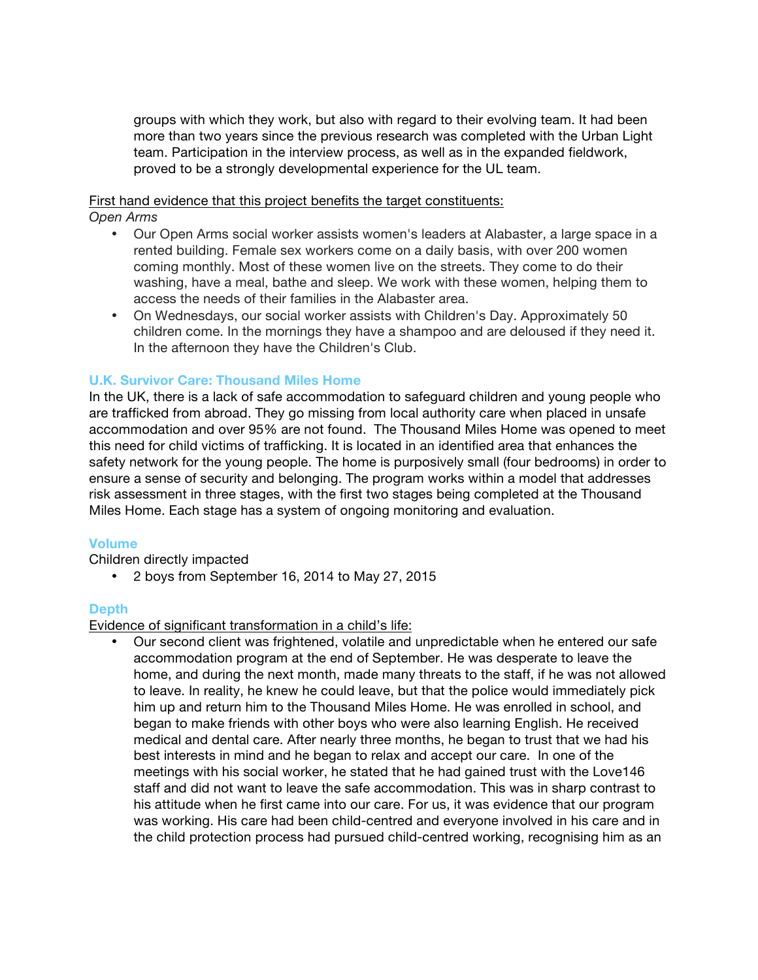groups with which they work, but also with regard to their evolving team. It had been more than two years since the previous research was completed with the Urban Light team. Participation in the interview process, as well as in the expanded fieldwork, proved to be a strongly developmental experience for the UL team.

First hand evidence that this project benefits the target constituents:

*Open Arms*

- Our Open Arms social worker assists women's leaders at Alabaster, a large space in a rented building. Female sex workers come on a daily basis, with over 200 women coming monthly. Most of these women live on the streets. They come to do their washing, have a meal, bathe and sleep. We work with these women, helping them to access the needs of their families in the Alabaster area.
- On Wednesdays, our social worker assists with Children's Day. Approximately 50 children come. In the mornings they have a shampoo and are deloused if they need it. In the afternoon they have the Children's Club.

## **U.K. Survivor Care: Thousand Miles Home**

In the UK, there is a lack of safe accommodation to safeguard children and young people who are trafficked from abroad. They go missing from local authority care when placed in unsafe accommodation and over 95% are not found. The Thousand Miles Home was opened to meet this need for child victims of trafficking. It is located in an identified area that enhances the safety network for the young people. The home is purposively small (four bedrooms) in order to ensure a sense of security and belonging. The program works within a model that addresses risk assessment in three stages, with the first two stages being completed at the Thousand Miles Home. Each stage has a system of ongoing monitoring and evaluation.

## **Volume**

Children directly impacted

• 2 boys from September 16, 2014 to May 27, 2015

## **Depth**

Evidence of significant transformation in a child's life:

• Our second client was frightened, volatile and unpredictable when he entered our safe accommodation program at the end of September. He was desperate to leave the home, and during the next month, made many threats to the staff, if he was not allowed to leave. In reality, he knew he could leave, but that the police would immediately pick him up and return him to the Thousand Miles Home. He was enrolled in school, and began to make friends with other boys who were also learning English. He received medical and dental care. After nearly three months, he began to trust that we had his best interests in mind and he began to relax and accept our care. In one of the meetings with his social worker, he stated that he had gained trust with the Love146 staff and did not want to leave the safe accommodation. This was in sharp contrast to his attitude when he first came into our care. For us, it was evidence that our program was working. His care had been child-centred and everyone involved in his care and in the child protection process had pursued child-centred working, recognising him as an